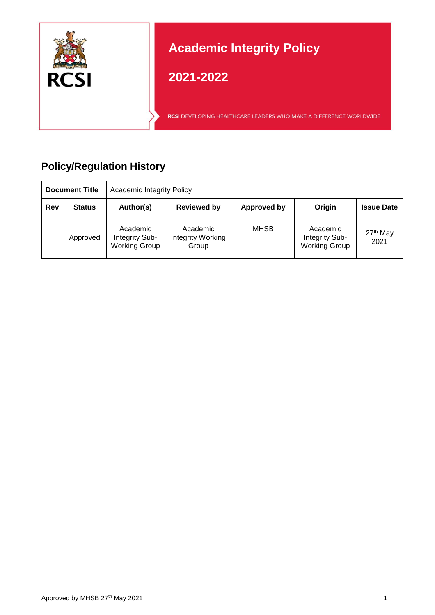

# **Policy/Regulation History**

| <b>Document Title</b> |               | <b>Academic Integrity Policy</b>                   |                                        |             |                                                    |                              |  |
|-----------------------|---------------|----------------------------------------------------|----------------------------------------|-------------|----------------------------------------------------|------------------------------|--|
| <b>Rev</b>            | <b>Status</b> | Author(s)                                          | <b>Reviewed by</b>                     | Approved by | Origin                                             | <b>Issue Date</b>            |  |
|                       | Approved      | Academic<br>Integrity Sub-<br><b>Working Group</b> | Academic<br>Integrity Working<br>Group | <b>MHSB</b> | Academic<br>Integrity Sub-<br><b>Working Group</b> | 27 <sup>th</sup> May<br>2021 |  |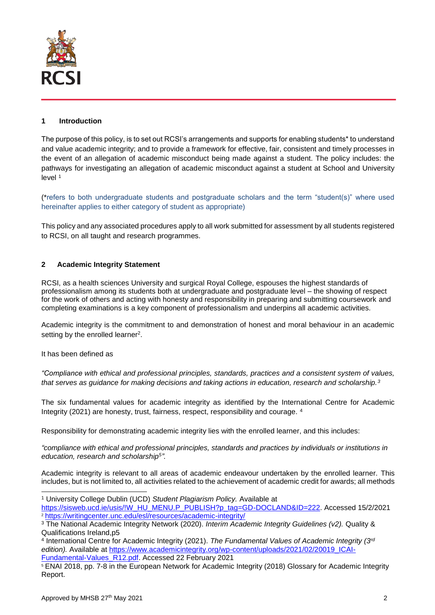

### **1 Introduction**

The purpose of this policy, is to set out RCSI's arrangements and supports for enabling students\* to understand and value academic integrity; and to provide a framework for effective, fair, consistent and timely processes in the event of an allegation of academic misconduct being made against a student. The policy includes: the pathways for investigating an allegation of academic misconduct against a student at School and University level <sup>1</sup>

(\*refers to both undergraduate students and postgraduate scholars and the term "student(s)" where used hereinafter applies to either category of student as appropriate)

This policy and any associated procedures apply to all work submitted for assessment by all students registered to RCSI, on all taught and research programmes.

#### **2 Academic Integrity Statement**

RCSI, as a health sciences University and surgical Royal College, espouses the highest standards of professionalism among its students both at undergraduate and postgraduate level – the showing of respect for the work of others and acting with honesty and responsibility in preparing and submitting coursework and completing examinations is a key component of professionalism and underpins all academic activities.

Academic integrity is the commitment to and demonstration of honest and moral behaviour in an academic setting by the enrolled learner<sup>2</sup>.

It has been defined as

l

*"Compliance with ethical and professional principles, standards, practices and a consistent system of values, that serves as guidance for making decisions and taking actions in education, research and scholarship.<sup>3</sup>*

The six fundamental values for academic integrity as identified by the International Centre for Academic Integrity (2021) are honesty, trust, fairness, respect, responsibility and courage. <sup>4</sup>

Responsibility for demonstrating academic integrity lies with the enrolled learner, and this includes:

*"compliance with ethical and professional principles, standards and practices by individuals or institutions in education, research and scholarship<sup>5</sup> ".*

Academic integrity is relevant to all areas of academic endeavour undertaken by the enrolled learner. This includes, but is not limited to, all activities related to the achievement of academic credit for awards; all methods

<sup>1</sup> University College Dublin (UCD) *Student Plagiarism Policy.* Available at [https://sisweb.ucd.ie/usis/!W\\_HU\\_MENU.P\\_PUBLISH?p\\_tag=GD-DOCLAND&ID=222.](https://sisweb.ucd.ie/usis/!W_HU_MENU.P_PUBLISH?p_tag=GD-DOCLAND&ID=222) Accessed 15/2/2021

<sup>2</sup> <https://writingcenter.unc.edu/esl/resources/academic-integrity/>

<sup>3</sup> The National Academic Integrity Network (2020). *Interim Academic Integrity Guidelines (v2).* Quality & Qualifications Ireland,p5

<sup>4</sup> International Centre for Academic Integrity (2021). *The Fundamental Values of Academic Integrity (3rd* edition). Available at [https://www.academicintegrity.org/wp-content/uploads/2021/02/20019\\_ICAI-](https://www.academicintegrity.org/wp-content/uploads/2021/02/20019_ICAI-Fundamental-Values_R12.pdf)[Fundamental-Values\\_R12.pdf.](https://www.academicintegrity.org/wp-content/uploads/2021/02/20019_ICAI-Fundamental-Values_R12.pdf) Accessed 22 February 2021

<sup>5</sup> ENAI 2018, pp. 7-8 in the European Network for Academic Integrity (2018) Glossary for Academic Integrity Report.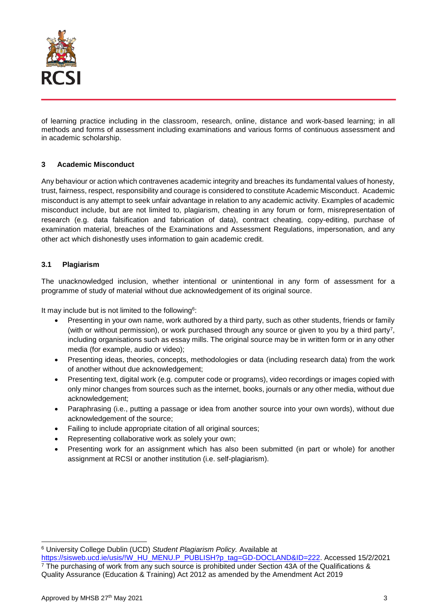

of learning practice including in the classroom, research, online, distance and work-based learning; in all methods and forms of assessment including examinations and various forms of continuous assessment and in academic scholarship.

## **3 Academic Misconduct**

Any behaviour or action which contravenes academic integrity and breaches its fundamental values of honesty, trust, fairness, respect, responsibility and courage is considered to constitute Academic Misconduct. Academic misconduct is any attempt to seek unfair advantage in relation to any academic activity. Examples of academic misconduct include, but are not limited to, plagiarism, cheating in any forum or form, misrepresentation of research (e.g. data falsification and fabrication of data), contract cheating, copy-editing, purchase of examination material, breaches of the Examinations and Assessment Regulations, impersonation, and any other act which dishonestly uses information to gain academic credit.

#### **3.1 Plagiarism**

The unacknowledged inclusion, whether intentional or unintentional in any form of assessment for a programme of study of material without due acknowledgement of its original source.

It may include but is not limited to the following<sup>6</sup>:

- Presenting in your own name, work authored by a third party, such as other students, friends or family (with or without permission), or work purchased through any source or given to you by a third party<sup>7</sup> , including organisations such as essay mills. The original source may be in written form or in any other media (for example, audio or video);
- Presenting ideas, theories, concepts, methodologies or data (including research data) from the work of another without due acknowledgement;
- Presenting text, digital work (e.g. computer code or programs), video recordings or images copied with only minor changes from sources such as the internet, books, journals or any other media, without due acknowledgement;
- Paraphrasing (i.e., putting a passage or idea from another source into your own words), without due acknowledgement of the source;
- Failing to include appropriate citation of all original sources;
- Representing collaborative work as solely your own;
- Presenting work for an assignment which has also been submitted (in part or whole) for another assignment at RCSI or another institution (i.e. self-plagiarism).

l <sup>6</sup> University College Dublin (UCD) *Student Plagiarism Policy.* Available at

[https://sisweb.ucd.ie/usis/!W\\_HU\\_MENU.P\\_PUBLISH?p\\_tag=GD-DOCLAND&ID=222.](https://sisweb.ucd.ie/usis/!W_HU_MENU.P_PUBLISH?p_tag=GD-DOCLAND&ID=222) Accessed 15/2/2021 <sup>7</sup> The purchasing of work from any such source is prohibited under Section 43A of the Qualifications & Quality Assurance (Education & Training) Act 2012 as amended by the Amendment Act 2019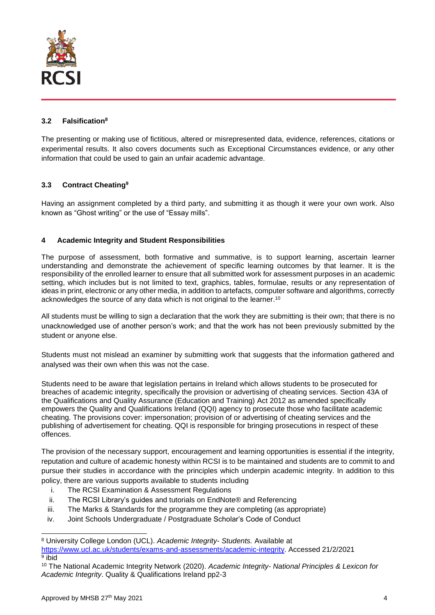

## **3.2 Falsification<sup>8</sup>**

The presenting or making use of fictitious, altered or misrepresented data, evidence, references, citations or experimental results. It also covers documents such as Exceptional Circumstances evidence, or any other information that could be used to gain an unfair academic advantage.

# **3.3 Contract Cheating<sup>9</sup>**

Having an assignment completed by a third party, and submitting it as though it were your own work. Also known as "Ghost writing" or the use of "Essay mills".

## **4 Academic Integrity and Student Responsibilities**

The purpose of assessment, both formative and summative, is to support learning, ascertain learner understanding and demonstrate the achievement of specific learning outcomes by that learner. It is the responsibility of the enrolled learner to ensure that all submitted work for assessment purposes in an academic setting, which includes but is not limited to text, graphics, tables, formulae, results or any representation of ideas in print, electronic or any other media, in addition to artefacts, computer software and algorithms, correctly acknowledges the source of any data which is not original to the learner. $^{\rm 10}$ 

All students must be willing to sign a declaration that the work they are submitting is their own; that there is no unacknowledged use of another person's work; and that the work has not been previously submitted by the student or anyone else.

Students must not mislead an examiner by submitting work that suggests that the information gathered and analysed was their own when this was not the case.

Students need to be aware that legislation pertains in Ireland which allows students to be prosecuted for breaches of academic integrity, specifically the provision or advertising of cheating services. Section 43A of the Qualifications and Quality Assurance (Education and Training) Act 2012 as amended specifically empowers the Quality and Qualifications Ireland (QQI) agency to prosecute those who facilitate academic cheating. The provisions cover: impersonation; provision of or advertising of cheating services and the publishing of advertisement for cheating. QQI is responsible for bringing prosecutions in respect of these offences.

The provision of the necessary support, encouragement and learning opportunities is essential if the integrity, reputation and culture of academic honesty within RCSI is to be maintained and students are to commit to and pursue their studies in accordance with the principles which underpin academic integrity. In addition to this policy, there are various supports available to students including

- i. The RCSI Examination & Assessment Regulations
- ii. The RCSI Library's guides and tutorials on EndNote® and Referencing
- iii. The Marks & Standards for the programme they are completing (as appropriate)
- iv. Joint Schools Undergraduate / Postgraduate Scholar's Code of Conduct

l

<sup>8</sup> University College London (UCL). *Academic Integrity- Students.* Available at

[https://www.ucl.ac.uk/students/exams-and-assessments/academic-integrity.](https://www.ucl.ac.uk/students/exams-and-assessments/academic-integrity) Accessed 21/2/2021 <sup>9</sup> ibid

<sup>10</sup> The National Academic Integrity Network (2020). *Academic Integrity- National Principles & Lexicon for Academic Integrity*. Quality & Qualifications Ireland pp2-3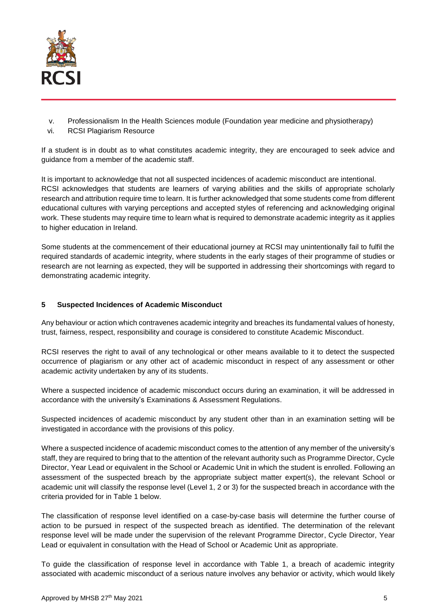

- v. Professionalism In the Health Sciences module (Foundation year medicine and physiotherapy)
- vi. RCSI Plagiarism Resource

If a student is in doubt as to what constitutes academic integrity, they are encouraged to seek advice and guidance from a member of the academic staff.

It is important to acknowledge that not all suspected incidences of academic misconduct are intentional. RCSI acknowledges that students are learners of varying abilities and the skills of appropriate scholarly research and attribution require time to learn. It is further acknowledged that some students come from different educational cultures with varying perceptions and accepted styles of referencing and acknowledging original work. These students may require time to learn what is required to demonstrate academic integrity as it applies to higher education in Ireland.

Some students at the commencement of their educational journey at RCSI may unintentionally fail to fulfil the required standards of academic integrity, where students in the early stages of their programme of studies or research are not learning as expected, they will be supported in addressing their shortcomings with regard to demonstrating academic integrity.

# **5 Suspected Incidences of Academic Misconduct**

Any behaviour or action which contravenes academic integrity and breaches its fundamental values of honesty, trust, fairness, respect, responsibility and courage is considered to constitute Academic Misconduct.

RCSI reserves the right to avail of any technological or other means available to it to detect the suspected occurrence of plagiarism or any other act of academic misconduct in respect of any assessment or other academic activity undertaken by any of its students.

Where a suspected incidence of academic misconduct occurs during an examination, it will be addressed in accordance with the university's Examinations & Assessment Regulations.

Suspected incidences of academic misconduct by any student other than in an examination setting will be investigated in accordance with the provisions of this policy.

Where a suspected incidence of academic misconduct comes to the attention of any member of the university's staff, they are required to bring that to the attention of the relevant authority such as Programme Director, Cycle Director, Year Lead or equivalent in the School or Academic Unit in which the student is enrolled. Following an assessment of the suspected breach by the appropriate subject matter expert(s), the relevant School or academic unit will classify the response level (Level 1, 2 or 3) for the suspected breach in accordance with the criteria provided for in Table 1 below.

The classification of response level identified on a case-by-case basis will determine the further course of action to be pursued in respect of the suspected breach as identified. The determination of the relevant response level will be made under the supervision of the relevant Programme Director, Cycle Director, Year Lead or equivalent in consultation with the Head of School or Academic Unit as appropriate.

To guide the classification of response level in accordance with Table 1, a breach of academic integrity associated with academic misconduct of a serious nature involves any behavior or activity, which would likely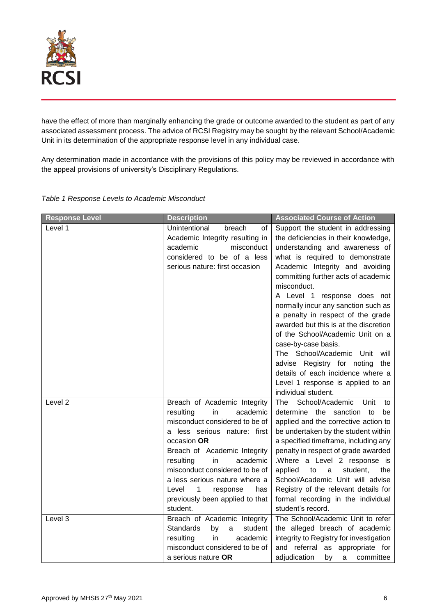

have the effect of more than marginally enhancing the grade or outcome awarded to the student as part of any associated assessment process. The advice of RCSI Registry may be sought by the relevant School/Academic Unit in its determination of the appropriate response level in any individual case.

Any determination made in accordance with the provisions of this policy may be reviewed in accordance with the appeal provisions of university's Disciplinary Regulations.

| <b>Response Level</b> | <b>Description</b>                                                                                                                                                                                                                                                                                                                                             | <b>Associated Course of Action</b>                                                                                                                                                                                                                                                                                                                                                                                                                                                                                                                                                                        |
|-----------------------|----------------------------------------------------------------------------------------------------------------------------------------------------------------------------------------------------------------------------------------------------------------------------------------------------------------------------------------------------------------|-----------------------------------------------------------------------------------------------------------------------------------------------------------------------------------------------------------------------------------------------------------------------------------------------------------------------------------------------------------------------------------------------------------------------------------------------------------------------------------------------------------------------------------------------------------------------------------------------------------|
| Level 1               | Unintentional<br>breach<br>οf<br>Academic Integrity resulting in<br>misconduct<br>academic<br>considered to be of a less<br>serious nature: first occasion                                                                                                                                                                                                     | Support the student in addressing<br>the deficiencies in their knowledge,<br>understanding and awareness of<br>what is required to demonstrate<br>Academic Integrity and avoiding<br>committing further acts of academic<br>misconduct.<br>A Level 1 response does not<br>normally incur any sanction such as<br>a penalty in respect of the grade<br>awarded but this is at the discretion<br>of the School/Academic Unit on a<br>case-by-case basis.<br>The School/Academic Unit<br>will<br>advise Registry for noting<br>the<br>details of each incidence where a<br>Level 1 response is applied to an |
|                       |                                                                                                                                                                                                                                                                                                                                                                | individual student.                                                                                                                                                                                                                                                                                                                                                                                                                                                                                                                                                                                       |
| Level 2               | Breach of Academic Integrity<br>academic<br>resulting<br>in<br>misconduct considered to be of<br>a less serious nature: first<br>occasion OR<br>Breach of Academic Integrity<br>resulting<br>in<br>academic<br>misconduct considered to be of<br>a less serious nature where a<br>Level<br>1<br>response<br>has<br>previously been applied to that<br>student. | School/Academic<br>Unit<br>The<br>to<br>determine the sanction to<br>be<br>applied and the corrective action to<br>be undertaken by the student within<br>a specified timeframe, including any<br>penalty in respect of grade awarded<br>.Where a Level 2 response is<br>applied<br>to<br>$\mathsf{a}$<br>student,<br>the<br>School/Academic Unit will advise<br>Registry of the relevant details for<br>formal recording in the individual<br>student's record.                                                                                                                                          |
| Level 3               | Breach of Academic Integrity<br><b>Standards</b><br>student<br>by<br>a<br>in<br>academic<br>resulting<br>misconduct considered to be of<br>a serious nature OR                                                                                                                                                                                                 | The School/Academic Unit to refer<br>the alleged breach of academic<br>integrity to Registry for investigation<br>and referral as appropriate for<br>adjudication<br>by<br>a<br>committee                                                                                                                                                                                                                                                                                                                                                                                                                 |

*Table 1 Response Levels to Academic Misconduct*